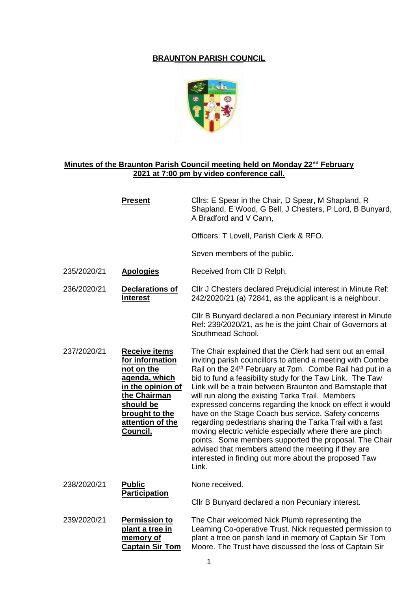## **BRAUNTON PARISH COUNCIL**



## **Minutes of the Braunton Parish Council meeting held on Monday 22nd February 2021 at 7:00 pm by video conference call.**

|             | <b>Present</b>                                                                                                                                                             | Cllrs: E Spear in the Chair, D Spear, M Shapland, R<br>Shapland, E Wood, G Bell, J Chesters, P Lord, B Bunyard,<br>A Bradford and V Cann,                                                                                                                                                                                                                                                                                                                                                                                                                                                                                                                                                                                                                                                                      |
|-------------|----------------------------------------------------------------------------------------------------------------------------------------------------------------------------|----------------------------------------------------------------------------------------------------------------------------------------------------------------------------------------------------------------------------------------------------------------------------------------------------------------------------------------------------------------------------------------------------------------------------------------------------------------------------------------------------------------------------------------------------------------------------------------------------------------------------------------------------------------------------------------------------------------------------------------------------------------------------------------------------------------|
|             |                                                                                                                                                                            | Officers: T Lovell, Parish Clerk & RFO.                                                                                                                                                                                                                                                                                                                                                                                                                                                                                                                                                                                                                                                                                                                                                                        |
|             |                                                                                                                                                                            | Seven members of the public.                                                                                                                                                                                                                                                                                                                                                                                                                                                                                                                                                                                                                                                                                                                                                                                   |
| 235/2020/21 | <b>Apologies</b>                                                                                                                                                           | Received from Cllr D Relph.                                                                                                                                                                                                                                                                                                                                                                                                                                                                                                                                                                                                                                                                                                                                                                                    |
| 236/2020/21 | Declarations of<br><b>Interest</b>                                                                                                                                         | Cllr J Chesters declared Prejudicial interest in Minute Ref:<br>242/2020/21 (a) 72841, as the applicant is a neighbour.                                                                                                                                                                                                                                                                                                                                                                                                                                                                                                                                                                                                                                                                                        |
|             |                                                                                                                                                                            | Cllr B Bunyard declared a non Pecuniary interest in Minute<br>Ref: 239/2020/21, as he is the joint Chair of Governors at<br>Southmead School.                                                                                                                                                                                                                                                                                                                                                                                                                                                                                                                                                                                                                                                                  |
| 237/2020/21 | <b>Receive items</b><br>for information<br>not on the<br>agenda, which<br>in the opinion of<br>the Chairman<br>should be<br>brought to the<br>attention of the<br>Council. | The Chair explained that the Clerk had sent out an email<br>inviting parish councillors to attend a meeting with Combe<br>Rail on the 24 <sup>th</sup> February at 7pm. Combe Rail had put in a<br>bid to fund a feasibility study for the Taw Link. The Taw<br>Link will be a train between Braunton and Barnstaple that<br>will run along the existing Tarka Trail. Members<br>expressed concerns regarding the knock on effect it would<br>have on the Stage Coach bus service. Safety concerns<br>regarding pedestrians sharing the Tarka Trail with a fast<br>moving electric vehicle especially where there are pinch<br>points. Some members supported the proposal. The Chair<br>advised that members attend the meeting if they are<br>interested in finding out more about the proposed Taw<br>Link. |
| 238/2020/21 | <b>Public</b><br><b>Participation</b>                                                                                                                                      | None received.                                                                                                                                                                                                                                                                                                                                                                                                                                                                                                                                                                                                                                                                                                                                                                                                 |
|             |                                                                                                                                                                            | Cllr B Bunyard declared a non Pecuniary interest.                                                                                                                                                                                                                                                                                                                                                                                                                                                                                                                                                                                                                                                                                                                                                              |
| 239/2020/21 | <b>Permission to</b><br>plant a tree in<br>memory of<br><b>Captain Sir Tom</b>                                                                                             | The Chair welcomed Nick Plumb representing the<br>Learning Co-operative Trust. Nick requested permission to<br>plant a tree on parish land in memory of Captain Sir Tom<br>Moore. The Trust have discussed the loss of Captain Sir                                                                                                                                                                                                                                                                                                                                                                                                                                                                                                                                                                             |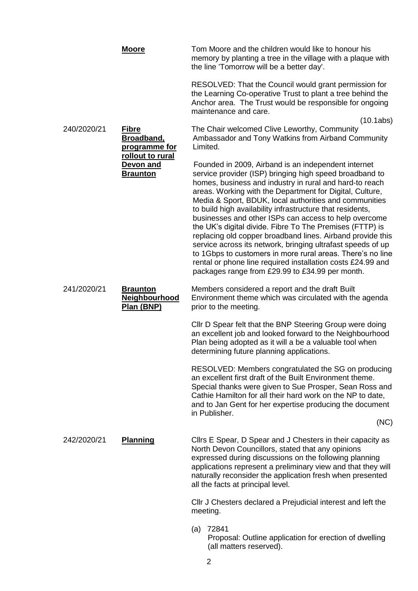|             | <b>Moore</b>                                                           | Tom Moore and the children would like to honour his<br>memory by planting a tree in the village with a plaque with<br>the line 'Tomorrow will be a better day'.                                                                                                                                                                                                                                                                                                                                                                                                                                                                                                                                                                                                                                |
|-------------|------------------------------------------------------------------------|------------------------------------------------------------------------------------------------------------------------------------------------------------------------------------------------------------------------------------------------------------------------------------------------------------------------------------------------------------------------------------------------------------------------------------------------------------------------------------------------------------------------------------------------------------------------------------------------------------------------------------------------------------------------------------------------------------------------------------------------------------------------------------------------|
|             |                                                                        | RESOLVED: That the Council would grant permission for<br>the Learning Co-operative Trust to plant a tree behind the<br>Anchor area. The Trust would be responsible for ongoing<br>maintenance and care.                                                                                                                                                                                                                                                                                                                                                                                                                                                                                                                                                                                        |
| 240/2020/21 | <b>Fibre</b><br><b>Broadband,</b><br>programme for<br>rollout to rural | (10.1ab)<br>The Chair welcomed Clive Leworthy, Community<br>Ambassador and Tony Watkins from Airband Community<br>Limited.                                                                                                                                                                                                                                                                                                                                                                                                                                                                                                                                                                                                                                                                     |
|             | Devon and<br><b>Braunton</b>                                           | Founded in 2009, Airband is an independent internet<br>service provider (ISP) bringing high speed broadband to<br>homes, business and industry in rural and hard-to reach<br>areas. Working with the Department for Digital, Culture,<br>Media & Sport, BDUK, local authorities and communities<br>to build high availability infrastructure that residents,<br>businesses and other ISPs can access to help overcome<br>the UK's digital divide. Fibre To The Premises (FTTP) is<br>replacing old copper broadband lines. Airband provide this<br>service across its network, bringing ultrafast speeds of up<br>to 1Gbps to customers in more rural areas. There's no line<br>rental or phone line required installation costs £24.99 and<br>packages range from £29.99 to £34.99 per month. |
| 241/2020/21 | <b>Braunton</b><br><b>Neighbourhood</b><br>Plan (BNP)                  | Members considered a report and the draft Built<br>Environment theme which was circulated with the agenda<br>prior to the meeting.                                                                                                                                                                                                                                                                                                                                                                                                                                                                                                                                                                                                                                                             |
|             |                                                                        | Cllr D Spear felt that the BNP Steering Group were doing<br>an excellent job and looked forward to the Neighbourhood<br>Plan being adopted as it will a be a valuable tool when<br>determining future planning applications.                                                                                                                                                                                                                                                                                                                                                                                                                                                                                                                                                                   |
|             |                                                                        | RESOLVED: Members congratulated the SG on producing<br>an excellent first draft of the Built Environment theme.<br>Special thanks were given to Sue Prosper, Sean Ross and<br>Cathie Hamilton for all their hard work on the NP to date,<br>and to Jan Gent for her expertise producing the document<br>in Publisher.                                                                                                                                                                                                                                                                                                                                                                                                                                                                          |
|             |                                                                        | (NC)                                                                                                                                                                                                                                                                                                                                                                                                                                                                                                                                                                                                                                                                                                                                                                                           |
| 242/2020/21 | <b>Planning</b>                                                        | Clirs E Spear, D Spear and J Chesters in their capacity as<br>North Devon Councillors, stated that any opinions<br>expressed during discussions on the following planning<br>applications represent a preliminary view and that they will<br>naturally reconsider the application fresh when presented<br>all the facts at principal level.                                                                                                                                                                                                                                                                                                                                                                                                                                                    |
|             |                                                                        | Cllr J Chesters declared a Prejudicial interest and left the<br>meeting.                                                                                                                                                                                                                                                                                                                                                                                                                                                                                                                                                                                                                                                                                                                       |
|             |                                                                        | 72841<br>(a)<br>Proposal: Outline application for erection of dwelling<br>(all matters reserved).                                                                                                                                                                                                                                                                                                                                                                                                                                                                                                                                                                                                                                                                                              |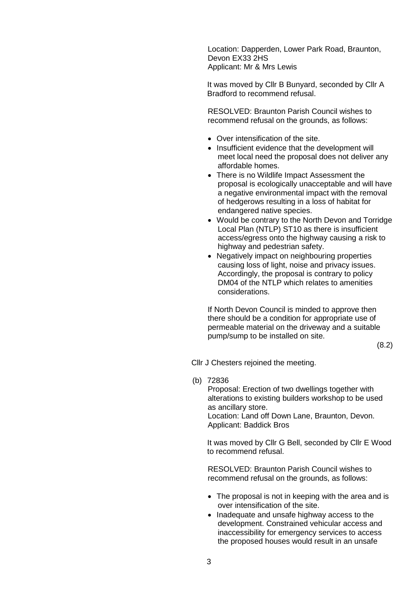Location: Dapperden, Lower Park Road, Braunton, Devon EX33 2HS Applicant: Mr & Mrs Lewis

It was moved by Cllr B Bunyard, seconded by Cllr A Bradford to recommend refusal.

RESOLVED: Braunton Parish Council wishes to recommend refusal on the grounds, as follows:

- Over intensification of the site.
- Insufficient evidence that the development will meet local need the proposal does not deliver any affordable homes.
- There is no Wildlife Impact Assessment the proposal is ecologically unacceptable and will have a negative environmental impact with the removal of hedgerows resulting in a loss of habitat for endangered native species.
- Would be contrary to the North Devon and Torridge Local Plan (NTLP) ST10 as there is insufficient access/egress onto the highway causing a risk to highway and pedestrian safety.
- Negatively impact on neighbouring properties causing loss of light, noise and privacy issues. Accordingly, the proposal is contrary to policy DM04 of the NTLP which relates to amenities considerations.

If North Devon Council is minded to approve then there should be a condition for appropriate use of permeable material on the driveway and a suitable pump/sump to be installed on site.

(8.2)

Cllr J Chesters rejoined the meeting.

(b) 72836

Proposal: Erection of two dwellings together with alterations to existing builders workshop to be used as ancillary store. Location: Land off Down Lane, Braunton, Devon. Applicant: Baddick Bros

It was moved by Cllr G Bell, seconded by Cllr E Wood to recommend refusal.

RESOLVED: Braunton Parish Council wishes to recommend refusal on the grounds, as follows:

- The proposal is not in keeping with the area and is over intensification of the site.
- Inadequate and unsafe highway access to the development. Constrained vehicular access and inaccessibility for emergency services to access the proposed houses would result in an unsafe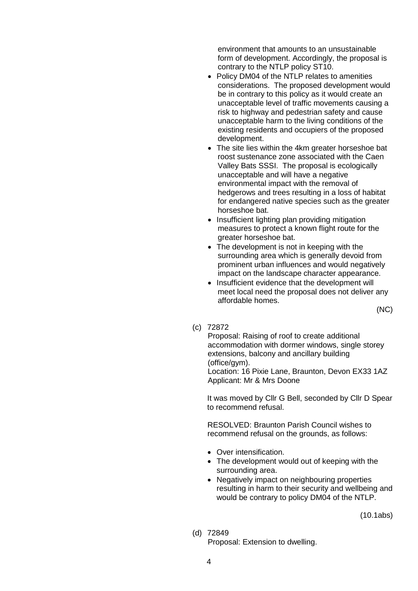environment that amounts to an unsustainable form of development. Accordingly, the proposal is contrary to the NTLP policy ST10.

- Policy DM04 of the NTLP relates to amenities considerations. The proposed development would be in contrary to this policy as it would create an unacceptable level of traffic movements causing a risk to highway and pedestrian safety and cause unacceptable harm to the living conditions of the existing residents and occupiers of the proposed development.
- The site lies within the 4km greater horseshoe bat roost sustenance zone associated with the Caen Valley Bats SSSI. The proposal is ecologically unacceptable and will have a negative environmental impact with the removal of hedgerows and trees resulting in a loss of habitat for endangered native species such as the greater horseshoe bat.
- Insufficient lighting plan providing mitigation measures to protect a known flight route for the greater horseshoe bat.
- The development is not in keeping with the surrounding area which is generally devoid from prominent urban influences and would negatively impact on the landscape character appearance.
- Insufficient evidence that the development will meet local need the proposal does not deliver any affordable homes.

(NC)

(c) 72872

Proposal: Raising of roof to create additional accommodation with dormer windows, single storey extensions, balcony and ancillary building (office/gym).

Location: 16 Pixie Lane, Braunton, Devon EX33 1AZ Applicant: Mr & Mrs Doone

It was moved by Cllr G Bell, seconded by Cllr D Spear to recommend refusal.

RESOLVED: Braunton Parish Council wishes to recommend refusal on the grounds, as follows:

- Over intensification.
- The development would out of keeping with the surrounding area.
- Negatively impact on neighbouring properties resulting in harm to their security and wellbeing and would be contrary to policy DM04 of the NTLP.

(10.1abs)

(d) 72849

Proposal: Extension to dwelling.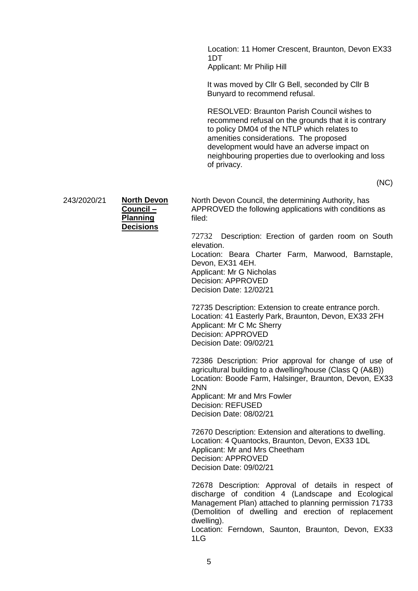Location: 11 Homer Crescent, Braunton, Devon EX33 1DT Applicant: Mr Philip Hill

It was moved by Cllr G Bell, seconded by Cllr B Bunyard to recommend refusal.

RESOLVED: Braunton Parish Council wishes to recommend refusal on the grounds that it is contrary to policy DM04 of the NTLP which relates to amenities considerations. The proposed development would have an adverse impact on neighbouring properties due to overlooking and loss of privacy.

(NC)

243/2020/21 **North Devon** 

| North Devol      |
|------------------|
| Council-         |
| <b>Planning</b>  |
| <b>Decisions</b> |
|                  |

North Devon Council, the determining Authority, has APPROVED the following applications with conditions as filed:

72732 Description: Erection of garden room on South elevation. Location: Beara Charter Farm, Marwood, Barnstaple,

Devon, EX31 4EH. Applicant: Mr G Nicholas Decision: APPROVED Decision Date: 12/02/21

72735 Description: Extension to create entrance porch. Location: 41 Easterly Park, Braunton, Devon, EX33 2FH Applicant: Mr C Mc Sherry Decision: APPROVED Decision Date: 09/02/21

72386 Description: Prior approval for change of use of agricultural building to a dwelling/house (Class Q (A&B)) Location: Boode Farm, Halsinger, Braunton, Devon, EX33 2NN Applicant: Mr and Mrs Fowler

Decision: REFUSED Decision Date: 08/02/21

72670 Description: Extension and alterations to dwelling. Location: 4 Quantocks, Braunton, Devon, EX33 1DL Applicant: Mr and Mrs Cheetham Decision: APPROVED Decision Date: 09/02/21

72678 Description: Approval of details in respect of discharge of condition 4 (Landscape and Ecological Management Plan) attached to planning permission 71733 (Demolition of dwelling and erection of replacement dwelling).

Location: Ferndown, Saunton, Braunton, Devon, EX33 1LG